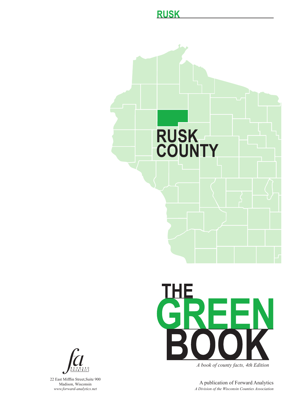### **RUSK**





*A book of county facts, 4th Edition*

A publication of Forward Analytics *A Division of the Wisconsin Counties Association*



22 East Mifflin Street,Suite 900 Madison, Wisconsin *www.forward-analytics.net*